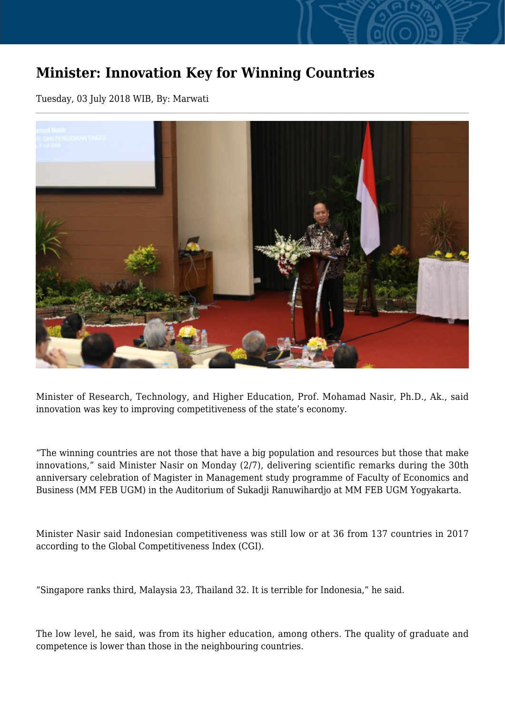## **Minister: Innovation Key for Winning Countries**

Tuesday, 03 July 2018 WIB, By: Marwati



Minister of Research, Technology, and Higher Education, Prof. Mohamad Nasir, Ph.D., Ak., said innovation was key to improving competitiveness of the state's economy.

"The winning countries are not those that have a big population and resources but those that make innovations," said Minister Nasir on Monday (2/7), delivering scientific remarks during the 30th anniversary celebration of Magister in Management study programme of Faculty of Economics and Business (MM FEB UGM) in the Auditorium of Sukadji Ranuwihardjo at MM FEB UGM Yogyakarta.

Minister Nasir said Indonesian competitiveness was still low or at 36 from 137 countries in 2017 according to the Global Competitiveness Index (CGI).

"Singapore ranks third, Malaysia 23, Thailand 32. It is terrible for Indonesia," he said.

The low level, he said, was from its higher education, among others. The quality of graduate and competence is lower than those in the neighbouring countries.